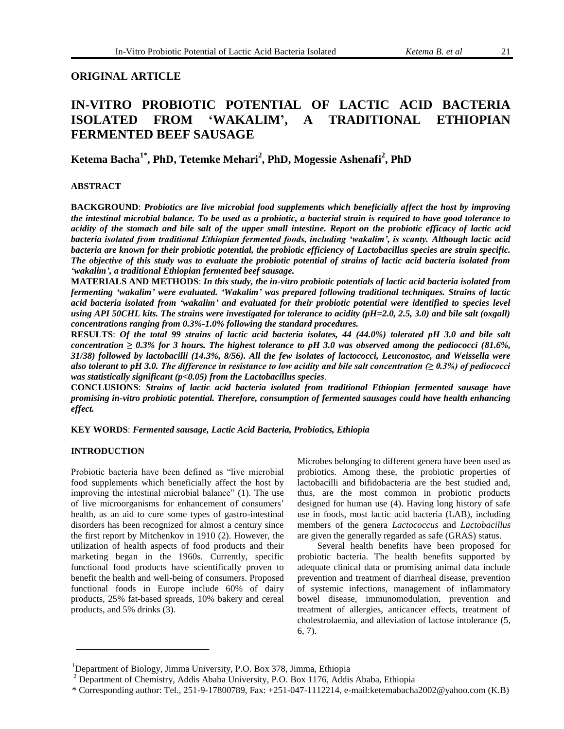## **ORIGINAL ARTICLE**

# **IN-VITRO PROBIOTIC POTENTIAL OF LACTIC ACID BACTERIA ISOLATED FROM 'WAKALIM', A TRADITIONAL ETHIOPIAN FERMENTED BEEF SAUSAGE**

**Ketema Bacha1\* , PhD, Tetemke Mehari 2 , PhD, Mogessie Ashenafi<sup>2</sup> , PhD** 

## **ABSTRACT**

**BACKGROUND**: *Probiotics are live microbial food supplements which beneficially affect the host by improving the intestinal microbial balance. To be used as a probiotic, a bacterial strain is required to have good tolerance to acidity of the stomach and bile salt of the upper small intestine. Report on the probiotic efficacy of lactic acid bacteria isolated from traditional Ethiopian fermented foods, including 'wakalim', is scanty. Although lactic acid bacteria are known for their probiotic potential, the probiotic efficiency of Lactobacillus species are strain specific. The objective of this study was to evaluate the probiotic potential of strains of lactic acid bacteria isolated from 'wakalim', a traditional Ethiopian fermented beef sausage.*

**MATERIALS AND METHODS**: *In this study, the in-vitro probiotic potentials of lactic acid bacteria isolated from fermenting 'wakalim' were evaluated. 'Wakalim' was prepared following traditional techniques. Strains of lactic acid bacteria isolated from 'wakalim' and evaluated for their probiotic potential were identified to species level using API 50CHL kits. The strains were investigated for tolerance to acidity (pH=2.0, 2.5, 3.0) and bile salt (oxgall) concentrations ranging from 0.3%-1.0% following the standard procedures.* 

**RESULTS**: *Of the total 99 strains of lactic acid bacteria isolates, 44 (44.0%) tolerated pH 3.0 and bile salt concentration*  $\geq 0.3\%$  for 3 hours. The highest tolerance to pH 3.0 was observed among the pediococci (81.6%, *31/38) followed by lactobacilli (14.3%, 8/56). All the few isolates of lactococci, Leuconostoc, and Weissella were also tolerant to pH 3.0. The difference in resistance to low acidity and bile salt concentration (≥ 0.3%) of pediococci was statistically significant (p<0.05) from the Lactobacillus species*.

**CONCLUSIONS**: *Strains of lactic acid bacteria isolated from traditional Ethiopian fermented sausage have promising in-vitro probiotic potential. Therefore, consumption of fermented sausages could have health enhancing effect.*

**KEY WORDS**: *Fermented sausage, Lactic Acid Bacteria, Probiotics, Ethiopia*

## **INTRODUCTION**

Probiotic bacteria have been defined as "live microbial food supplements which beneficially affect the host by improving the intestinal microbial balance" (1). The use of live microorganisms for enhancement of consumers" health, as an aid to cure some types of gastro-intestinal disorders has been recognized for almost a century since the first report by Mitchenkov in 1910 (2). However, the utilization of health aspects of food products and their marketing began in the 1960s. Currently, specific functional food products have scientifically proven to benefit the health and well-being of consumers. Proposed functional foods in Europe include 60% of dairy products, 25% fat-based spreads, 10% bakery and cereal products, and 5% drinks (3).

Microbes belonging to different genera have been used as probiotics. Among these, the probiotic properties of lactobacilli and bifidobacteria are the best studied and, thus, are the most common in probiotic products designed for human use (4). Having long history of safe use in foods, most lactic acid bacteria (LAB), including members of the genera *Lactococcus* and *Lactobacillus*  are given the generally regarded as safe (GRAS) status.

Several health benefits have been proposed for probiotic bacteria. The health benefits supported by adequate clinical data or promising animal data include prevention and treatment of diarrheal disease, prevention of systemic infections, management of inflammatory bowel disease, immunomodulation, prevention and treatment of allergies, anticancer effects, treatment of cholestrolaemia, and alleviation of lactose intolerance (5, 6, 7).

<sup>&</sup>lt;sup>1</sup>Department of Biology, Jimma University, P.O. Box 378, Jimma, Ethiopia

<sup>&</sup>lt;sup>2</sup> Department of Chemistry, Addis Ababa University, P.O. Box 1176, Addis Ababa, Ethiopia

<sup>\*</sup> Corresponding author: Tel., 251-9-17800789, Fax: +251-047-1112214, e-mail:ketemabacha2002@yahoo.com (K.B)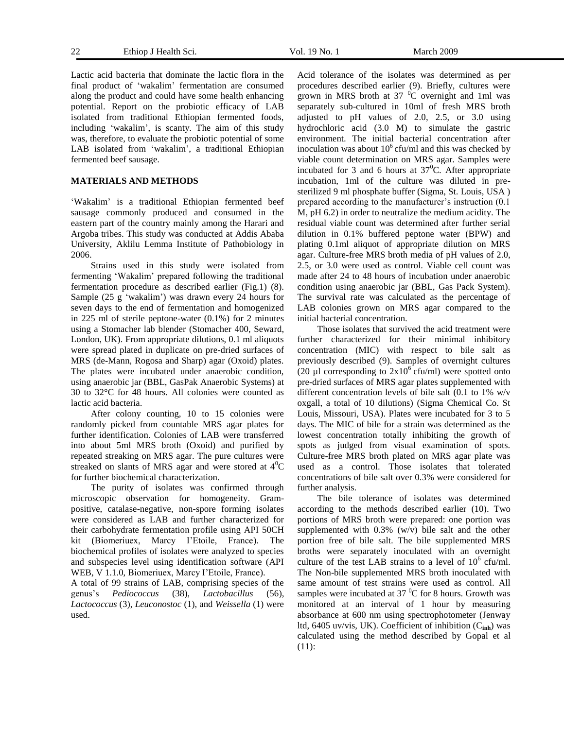Lactic acid bacteria that dominate the lactic flora in the final product of "wakalim" fermentation are consumed along the product and could have some health enhancing potential. Report on the probiotic efficacy of LAB isolated from traditional Ethiopian fermented foods, including "wakalim", is scanty. The aim of this study was, therefore, to evaluate the probiotic potential of some LAB isolated from 'wakalim', a traditional Ethiopian fermented beef sausage.

#### **MATERIALS AND METHODS**

'Wakalim' is a traditional Ethiopian fermented beef sausage commonly produced and consumed in the eastern part of the country mainly among the Harari and Argoba tribes. This study was conducted at Addis Ababa University, Aklilu Lemma Institute of Pathobiology in 2006.

Strains used in this study were isolated from fermenting "Wakalim" prepared following the traditional fermentation procedure as described earlier (Fig.1) (8). Sample (25 g "wakalim") was drawn every 24 hours for seven days to the end of fermentation and homogenized in 225 ml of sterile peptone-water (0.1%) for 2 minutes using a Stomacher lab blender (Stomacher 400, Seward, London, UK). From appropriate dilutions, 0.1 ml aliquots were spread plated in duplicate on pre-dried surfaces of MRS (de-Mann, Rogosa and Sharp) agar (Oxoid) plates. The plates were incubated under anaerobic condition, using anaerobic jar (BBL, GasPak Anaerobic Systems) at 30 to 32°C for 48 hours. All colonies were counted as lactic acid bacteria.

After colony counting, 10 to 15 colonies were randomly picked from countable MRS agar plates for further identification. Colonies of LAB were transferred into about 5ml MRS broth (Oxoid) and purified by repeated streaking on MRS agar. The pure cultures were streaked on slants of MRS agar and were stored at  $4^{\circ}C$ for further biochemical characterization.

The purity of isolates was confirmed through microscopic observation for homogeneity. Grampositive, catalase-negative, non-spore forming isolates were considered as LAB and further characterized for their carbohydrate fermentation profile using API 50CH kit (Biomeriuex, Marcy I"Etoile, France). The biochemical profiles of isolates were analyzed to species and subspecies level using identification software (API WEB, V 1.1.0, Biomeriuex, Marcy I"Etoile, France).

A total of 99 strains of LAB, comprising species of the genus"s *Pediococcus* (38), *Lactobacillus* (56), *Lactococcus* (3), *Leuconostoc* (1), and *Weissella* (1) were used.

Acid tolerance of the isolates was determined as per procedures described earlier (9). Briefly, cultures were grown in MRS broth at  $37\text{ °C}$  overnight and 1ml was separately sub-cultured in 10ml of fresh MRS broth adjusted to pH values of 2.0, 2.5, or 3.0 using hydrochloric acid (3.0 M) to simulate the gastric environment. The initial bacterial concentration after inoculation was about  $10^6$  cfu/ml and this was checked by viable count determination on MRS agar. Samples were incubated for 3 and 6 hours at  $37^{\circ}$ C. After appropriate incubation, 1ml of the culture was diluted in presterilized 9 ml phosphate buffer (Sigma, St. Louis, USA ) prepared according to the manufacturer's instruction (0.1) M, pH 6.2) in order to neutralize the medium acidity. The residual viable count was determined after further serial dilution in 0.1% buffered peptone water (BPW) and plating 0.1ml aliquot of appropriate dilution on MRS agar. Culture-free MRS broth media of pH values of 2.0, 2.5, or 3.0 were used as control. Viable cell count was made after 24 to 48 hours of incubation under anaerobic condition using anaerobic jar (BBL, Gas Pack System). The survival rate was calculated as the percentage of LAB colonies grown on MRS agar compared to the initial bacterial concentration.

Those isolates that survived the acid treatment were further characterized for their minimal inhibitory concentration (MIC) with respect to bile salt as previously described (9). Samples of overnight cultures (20 µl corresponding to  $2x10^{\circ}$  cfu/ml) were spotted onto pre-dried surfaces of MRS agar plates supplemented with different concentration levels of bile salt (0.1 to 1% w/v oxgall, a total of 10 dilutions) (Sigma Chemical Co. St Louis, Missouri, USA). Plates were incubated for 3 to 5 days. The MIC of bile for a strain was determined as the lowest concentration totally inhibiting the growth of spots as judged from visual examination of spots. Culture-free MRS broth plated on MRS agar plate was used as a control. Those isolates that tolerated concentrations of bile salt over 0.3% were considered for further analysis.

The bile tolerance of isolates was determined according to the methods described earlier (10). Two portions of MRS broth were prepared: one portion was supplemented with 0.3% (w/v) bile salt and the other portion free of bile salt. The bile supplemented MRS broths were separately inoculated with an overnight culture of the test LAB strains to a level of  $10^6$  cfu/ml. The Non-bile supplemented MRS broth inoculated with same amount of test strains were used as control. All samples were incubated at  $37<sup>0</sup>C$  for 8 hours. Growth was monitored at an interval of 1 hour by measuring absorbance at 600 nm using spectrophotometer (Jenway ltd, 6405 uv/vis, UK). Coefficient of inhibition (C**inh**) was calculated using the method described by Gopal et al (11):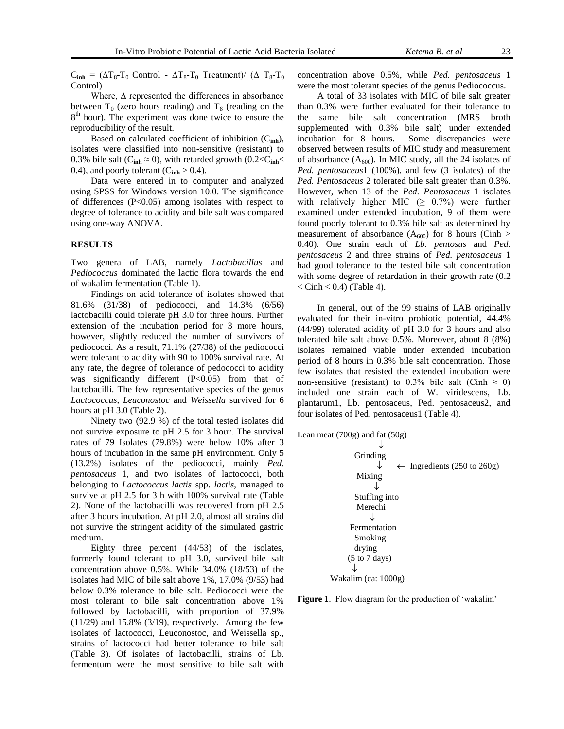$C_{inh} = (\Delta T_8 - T_0 \text{ Control} - \Delta T_8 - T_0 \text{ Treatment})/(\Delta T_8 - T_0$ Control)

Where, ∆ represented the differences in absorbance between  $T_0$  (zero hours reading) and  $T_8$  (reading on the 8<sup>th</sup> hour). The experiment was done twice to ensure the reproducibility of the result.

Based on calculated coefficient of inhibition (C**inh**), isolates were classified into non-sensitive (resistant) to 0.3% bile salt ( $C_{\text{inh}} \approx 0$ ), with retarded growth (0.2< $C_{\text{inh}}$ < 0.4), and poorly tolerant  $(C_{inh} > 0.4)$ .

Data were entered in to computer and analyzed using SPSS for Windows version 10.0. The significance of differences (P<0.05) among isolates with respect to degree of tolerance to acidity and bile salt was compared using one-way ANOVA.

#### **RESULTS**

Two genera of LAB, namely *Lactobacillus* and *Pediococcus* dominated the lactic flora towards the end of wakalim fermentation (Table 1).

Findings on acid tolerance of isolates showed that 81.6% (31/38) of pediococci, and 14.3% (6/56) lactobacilli could tolerate pH 3.0 for three hours. Further extension of the incubation period for 3 more hours, however, slightly reduced the number of survivors of pediococci. As a result, 71.1% (27/38) of the pediococci were tolerant to acidity with 90 to 100% survival rate. At any rate, the degree of tolerance of pedococci to acidity was significantly different (P<0.05) from that of lactobacilli. The few representative species of the genus *Lactococcus, Leuconostoc* and *Weissella* survived for 6 hours at pH 3.0 (Table 2).

Ninety two (92.9 %) of the total tested isolates did not survive exposure to pH 2.5 for 3 hour. The survival rates of 79 Isolates (79.8%) were below 10% after 3 hours of incubation in the same pH environment. Only 5 (13.2%) isolates of the pediococci, mainly *Ped. pentosaceus* 1, and two isolates of lactococci, both belonging to *Lactococcus lactis* spp. *lactis*, managed to survive at pH 2.5 for 3 h with 100% survival rate (Table 2). None of the lactobacilli was recovered from pH 2.5 after 3 hours incubation. At pH 2.0, almost all strains did not survive the stringent acidity of the simulated gastric medium.

Eighty three percent (44/53) of the isolates, formerly found tolerant to pH 3.0, survived bile salt concentration above 0.5%. While 34.0% (18/53) of the isolates had MIC of bile salt above 1%, 17.0% (9/53) had below 0.3% tolerance to bile salt. Pediococci were the most tolerant to bile salt concentration above 1% followed by lactobacilli, with proportion of 37.9%  $(11/29)$  and  $15.8\%$   $(3/19)$ , respectively. Among the few isolates of lactococci, Leuconostoc, and Weissella sp., strains of lactococci had better tolerance to bile salt (Table 3). Of isolates of lactobacilli, strains of Lb. fermentum were the most sensitive to bile salt with concentration above 0.5%, while *Ped. pentosaceus* 1 were the most tolerant species of the genus Pediococcus.

A total of 33 isolates with MIC of bile salt greater than 0.3% were further evaluated for their tolerance to the same bile salt concentration (MRS broth supplemented with 0.3% bile salt) under extended incubation for 8 hours. Some discrepancies were observed between results of MIC study and measurement of absorbance  $(A_{600})$ . In MIC study, all the 24 isolates of *Ped. pentosaceus*1 (100%), and few (3 isolates) of the *Ped. Pentosaceus* 2 tolerated bile salt greater than 0.3%. However, when 13 of the *Ped. Pentosaceus* 1 isolates with relatively higher MIC  $(≥ 0.7%)$  were further examined under extended incubation, 9 of them were found poorly tolerant to 0.3% bile salt as determined by measurement of absorbance  $(A_{600})$  for 8 hours (Cinh > 0.40). One strain each of *Lb. pentosus* and *Ped. pentosaceus* 2 and three strains of *Ped. pentosaceus* 1 had good tolerance to the tested bile salt concentration with some degree of retardation in their growth rate  $(0.2)$  $\langle$  Cinh  $\langle$  0.4) (Table 4).

In general, out of the 99 strains of LAB originally evaluated for their in-vitro probiotic potential, 44.4% (44/99) tolerated acidity of pH 3.0 for 3 hours and also tolerated bile salt above 0.5%. Moreover, about 8 (8%) isolates remained viable under extended incubation period of 8 hours in 0.3% bile salt concentration. Those few isolates that resisted the extended incubation were non-sensitive (resistant) to 0.3% bile salt (Cinh  $\approx$  0) included one strain each of W. viridescens, Lb. plantarum1, Lb. pentosaceus, Ped. pentosaceus2, and four isolates of Ped. pentosaceus1 (Table 4).



Grinding

\n
$$
\downarrow
$$
\n4

\n4

\n4

\n5

\nStuffing into  
\nMerechi

\n
$$
\downarrow
$$
\n4

\n4

\n4

\n4

\n4

\n4

\n5

\n5

\n6

\n7

\n8

\n8

\n9

\n10

\n11

\n12

\n13

\n14

\n15

\n16

\n17

\n18

\n19

\n19

\n19

\n19

\n19

\n19

\n19

\n19

\n19

\n19

\n19

\n19

\n19

\n19

\n19

\n19

\n19

\n19

\n19

\n19

\n19

\n19

\n19

\n19

\n19

\n19

\n19

\n19

\n19

\n19

\n19

\n19

\n19

\n19

\n19

\n19

\n19

\n19

\n19

\n19

\n19

\n19

\n19

\n19

\n19

\n19

\n19

\n19

\n19

\n19

\n19

\n19

\n19

\n19

\n19

\n19

\n19

\n19

\n19

\n19

\n19

\n19

\n19

\n19

\n19

\n19

**Figure 1.** Flow diagram for the production of 'wakalim'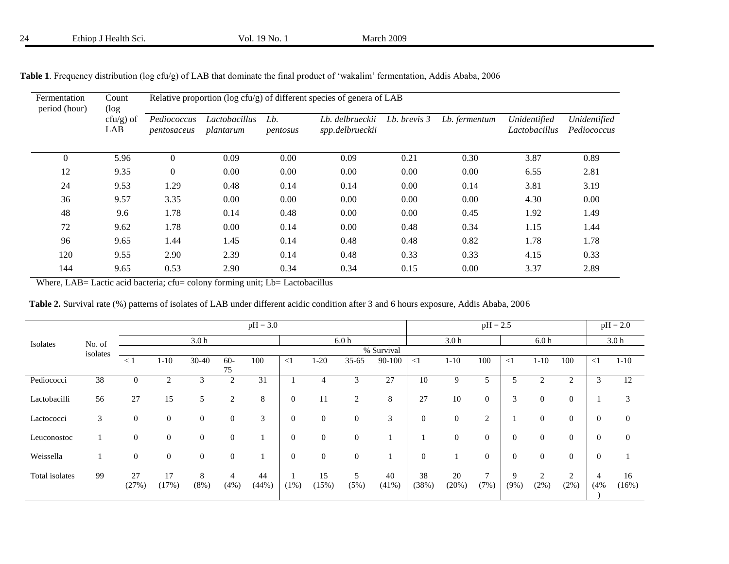| Fermentation<br>period (hour) | Count<br>(log       | Relative proportion ( $log c f u/g$ ) of different species of genera of LAB |                            |                    |                                    |              |               |                               |                             |  |  |  |
|-------------------------------|---------------------|-----------------------------------------------------------------------------|----------------------------|--------------------|------------------------------------|--------------|---------------|-------------------------------|-----------------------------|--|--|--|
|                               | $ctu/g$ ) of<br>LAB | Pediococcus<br>pentosaceus                                                  | Lactobacillus<br>plantarum | $Lb$ .<br>pentosus | Lb. delbrueckii<br>spp.delbrueckii | Lb. brevis 3 | Lb. fermentum | Unidentified<br>Lactobacillus | Unidentified<br>Pediococcus |  |  |  |
| $\theta$                      | 5.96                | $\theta$                                                                    | 0.09                       | 0.00               | 0.09                               | 0.21         | 0.30          | 3.87                          | 0.89                        |  |  |  |
| 12                            | 9.35                | $\overline{0}$                                                              | 0.00                       | 0.00               | 0.00                               | 0.00         | 0.00          | 6.55                          | 2.81                        |  |  |  |
| 24                            | 9.53                | 1.29                                                                        | 0.48                       | 0.14               | 0.14                               | 0.00         | 0.14          | 3.81                          | 3.19                        |  |  |  |
| 36                            | 9.57                | 3.35                                                                        | 0.00                       | 0.00               | 0.00                               | 0.00         | 0.00          | 4.30                          | 0.00                        |  |  |  |
| 48                            | 9.6                 | 1.78                                                                        | 0.14                       | 0.48               | 0.00                               | 0.00         | 0.45          | 1.92                          | 1.49                        |  |  |  |
| 72                            | 9.62                | 1.78                                                                        | 0.00                       | 0.14               | 0.00                               | 0.48         | 0.34          | 1.15                          | 1.44                        |  |  |  |
| 96                            | 9.65                | 1.44                                                                        | 1.45                       | 0.14               | 0.48                               | 0.48         | 0.82          | 1.78                          | 1.78                        |  |  |  |
| 120                           | 9.55                | 2.90                                                                        | 2.39                       | 0.14               | 0.48                               | 0.33         | 0.33          | 4.15                          | 0.33                        |  |  |  |
| 144                           | 9.65                | 0.53                                                                        | 2.90                       | 0.34               | 0.34                               | 0.15         | 0.00          | 3.37                          | 2.89                        |  |  |  |

|  |  |  |  |  | Table 1. Frequency distribution (log cfu/g) of LAB that dominate the final product of 'wakalim' fermentation, Addis Ababa, 2006 |  |  |  |  |  |
|--|--|--|--|--|---------------------------------------------------------------------------------------------------------------------------------|--|--|--|--|--|
|--|--|--|--|--|---------------------------------------------------------------------------------------------------------------------------------|--|--|--|--|--|

Where, LAB= Lactic acid bacteria; cfu= colony forming unit; Lb= Lactobacillus

| <b>Table 2.</b> Survival rate (%) patterns of isolates of LAB under different acidic condition after 3 and 6 hours exposure, Addis Ababa, 2006 |  |  |  |  |
|------------------------------------------------------------------------------------------------------------------------------------------------|--|--|--|--|
|------------------------------------------------------------------------------------------------------------------------------------------------|--|--|--|--|

|                |          | $pH = 3.0$       |                  |                  |                |             |                  |              |                  | $pH = 2.5$  |                |                  |                  |              | $pH = 2.0$                |                  |                |                  |
|----------------|----------|------------------|------------------|------------------|----------------|-------------|------------------|--------------|------------------|-------------|----------------|------------------|------------------|--------------|---------------------------|------------------|----------------|------------------|
| Isolates       | No. of   |                  |                  | 3.0 <sub>h</sub> |                |             |                  |              | 6.0 <sub>h</sub> |             |                | 3.0 <sub>h</sub> |                  |              | 6.0 <sub>h</sub>          |                  |                | 3.0 <sub>h</sub> |
|                | isolates |                  |                  |                  |                |             |                  |              |                  | % Survival  |                |                  |                  |              |                           |                  |                |                  |
|                |          | $\leq$ 1         | $1 - 10$         | 30-40            | $60 -$<br>75   | 100         | $\leq$ 1         | $1-20$       | $35 - 65$        | 90-100      | $\leq$ 1       | $1 - 10$         | 100              | $\leq$ 1     | $1 - 10$                  | 100              | $\leq$ 1       | $1 - 10$         |
| Pediococci     | 38       | $\theta$         | 2                | 3                | 2              | 31          |                  | 4            | 3                | 27          | 10             | 9                | 5                | 5            | 2                         | 2                | 3              | 12               |
| Lactobacilli   | 56       | 27               | 15               | 5                | 2              | 8           | $\boldsymbol{0}$ | 11           | $\overline{c}$   | 8           | 27             | 10               | $\mathbf{0}$     | 3            | $\mathbf{0}$              | $\boldsymbol{0}$ |                | 3                |
| Lactococci     | 3        | $\boldsymbol{0}$ | $\boldsymbol{0}$ | $\boldsymbol{0}$ | $\mathbf{0}$   | 3           | $\boldsymbol{0}$ | $\mathbf{0}$ | $\boldsymbol{0}$ | 3           | $\overline{0}$ | $\mathbf{0}$     | $\overline{2}$   |              | $\mathbf{0}$              | $\boldsymbol{0}$ | $\overline{0}$ | $\overline{0}$   |
| Leuconostoc    |          | $\mathbf{0}$     | $\mathbf{0}$     | $\boldsymbol{0}$ | $\overline{0}$ |             | $\overline{0}$   | $\mathbf{0}$ | $\boldsymbol{0}$ |             |                | $\mathbf{0}$     | $\overline{0}$   | $\theta$     | $\mathbf{0}$              | $\boldsymbol{0}$ | $\overline{0}$ | $\theta$         |
| Weissella      |          | $\mathbf{0}$     | $\mathbf{0}$     | $\mathbf{0}$     | $\mathbf{0}$   |             | $\mathbf{0}$     | $\mathbf{0}$ | $\boldsymbol{0}$ |             | $\mathbf{0}$   |                  | $\boldsymbol{0}$ | $\theta$     | $\boldsymbol{0}$          | $\boldsymbol{0}$ | $\overline{0}$ |                  |
| Total isolates | 99       | 27<br>(27%)      | 17<br>(17%)      | 8<br>$(8\%)$     | 4<br>(4%)      | 44<br>(44%) | $(1\%)$          | 15<br>(15%)  | 5<br>(5%)        | 40<br>(41%) | 38<br>(38%)    | 20<br>(20%)      | $\tau$<br>(7%)   | Q<br>$(9\%)$ | $\overline{2}$<br>$(2\%)$ | 2<br>(2%)        | 4<br>(4%       | 16<br>(16%)      |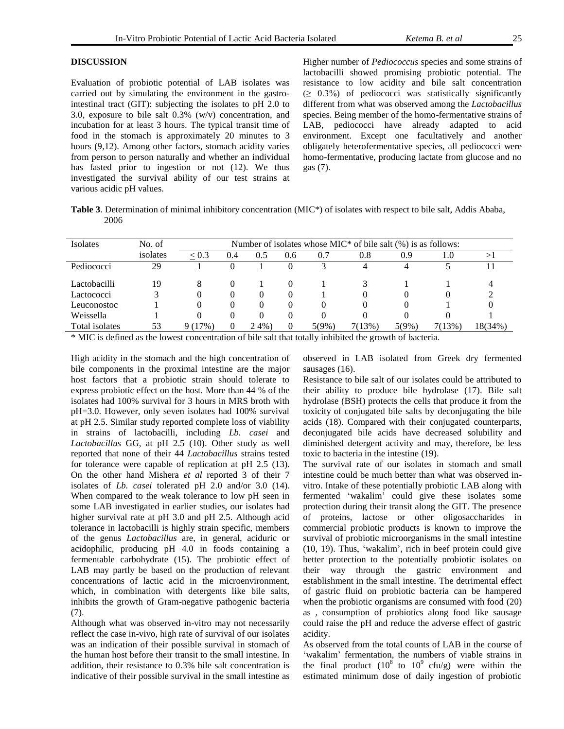## **DISCUSSION**

Evaluation of probiotic potential of LAB isolates was carried out by simulating the environment in the gastrointestinal tract (GIT): subjecting the isolates to pH 2.0 to 3.0, exposure to bile salt 0.3% (w/v) concentration, and incubation for at least 3 hours. The typical transit time of food in the stomach is approximately 20 minutes to 3 hours (9,12). Among other factors, stomach acidity varies from person to person naturally and whether an individual has fasted prior to ingestion or not (12). We thus investigated the survival ability of our test strains at various acidic pH values.

Higher number of *Pediococcus* species and some strains of lactobacilli showed promising probiotic potential. The resistance to low acidity and bile salt concentration  $( \geq 0.3\%)$  of pediococci was statistically significantly different from what was observed among the *Lactobacillus*  species. Being member of the homo-fermentative strains of LAB, pediococci have already adapted to acid environment. Except one facultatively and another obligately heterofermentative species, all pediococci were homo-fermentative, producing lactate from glucose and no gas (7).

**Table 3**. Determination of minimal inhibitory concentration (MIC\*) of isolates with respect to bile salt, Addis Ababa, 2006

| <b>Isolates</b> | No. of   |        | Number of isolates whose $MIC*$ of bile salt $(\%)$ is as follows: |          |     |              |         |          |        |         |  |
|-----------------|----------|--------|--------------------------------------------------------------------|----------|-----|--------------|---------|----------|--------|---------|--|
|                 | isolates | < 0.3  | 0.4                                                                | 0.5      | 0.6 | 0.7          | $0.8\,$ | 0.9      | 1.0    |         |  |
| Pediococci      | 29       |        |                                                                    |          | 0   | $\mathbf{z}$ | 4       | 4        |        |         |  |
| Lactobacilli    | 19       | 8      |                                                                    |          |     |              |         |          |        | 4       |  |
| Lactococci      |          |        |                                                                    | 0        |     |              |         |          |        |         |  |
| Leuconostoc     |          |        |                                                                    | $\theta$ |     | $\theta$     |         |          |        |         |  |
| Weissella       |          |        |                                                                    | $\theta$ |     | $\theta$     |         | $\theta$ |        |         |  |
| Total isolates  | 53       | 9(17%) |                                                                    | $2.4\%$  |     | 5(9%)        | 7(13%)  | $5(9\%)$ | 7(13%) | 18(34%) |  |

\* MIC is defined as the lowest concentration of bile salt that totally inhibited the growth of bacteria.

High acidity in the stomach and the high concentration of bile components in the proximal intestine are the major host factors that a probiotic strain should tolerate to express probiotic effect on the host. More than 44 % of the isolates had 100% survival for 3 hours in MRS broth with pH=3.0. However, only seven isolates had 100% survival at pH 2.5. Similar study reported complete loss of viability in strains of lactobacilli, including *Lb. casei* and *Lactobacillus* GG, at pH 2.5 (10). Other study as well reported that none of their 44 *Lactobacillus* strains tested for tolerance were capable of replication at pH 2.5 (13). On the other hand Mishera *et al* reported 3 of their 7 isolates of *Lb. casei* tolerated pH 2.0 and/or 3.0 (14). When compared to the weak tolerance to low pH seen in some LAB investigated in earlier studies, our isolates had higher survival rate at pH 3.0 and pH 2.5. Although acid tolerance in lactobacilli is highly strain specific, members of the genus *Lactobacillus* are, in general, aciduric or acidophilic, producing pH 4.0 in foods containing a fermentable carbohydrate (15). The probiotic effect of LAB may partly be based on the production of relevant concentrations of lactic acid in the microenvironment, which, in combination with detergents like bile salts, inhibits the growth of Gram-negative pathogenic bacteria (7).

Although what was observed in-vitro may not necessarily reflect the case in-vivo, high rate of survival of our isolates was an indication of their possible survival in stomach of the human host before their transit to the small intestine. In addition, their resistance to 0.3% bile salt concentration is indicative of their possible survival in the small intestine as

observed in LAB isolated from Greek dry fermented sausages (16).

Resistance to bile salt of our isolates could be attributed to their ability to produce bile hydrolase (17). Bile salt hydrolase (BSH) protects the cells that produce it from the toxicity of conjugated bile salts by deconjugating the bile acids (18). Compared with their conjugated counterparts, deconjugated bile acids have decreased solubility and diminished detergent activity and may, therefore, be less toxic to bacteria in the intestine (19).

The survival rate of our isolates in stomach and small intestine could be much better than what was observed invitro. Intake of these potentially probiotic LAB along with fermented "wakalim" could give these isolates some protection during their transit along the GIT. The presence of proteins, lactose or other oligosaccharides in commercial probiotic products is known to improve the survival of probiotic microorganisms in the small intestine (10, 19). Thus, "wakalim", rich in beef protein could give better protection to the potentially probiotic isolates on their way through the gastric environment and establishment in the small intestine. The detrimental effect of gastric fluid on probiotic bacteria can be hampered when the probiotic organisms are consumed with food (20) as , consumption of probiotics along food like sausage could raise the pH and reduce the adverse effect of gastric acidity.

As observed from the total counts of LAB in the course of 'wakalim' fermentation, the numbers of viable strains in the final product  $(10^8 \text{ to } 10^9 \text{ cftu/g})$  were within the estimated minimum dose of daily ingestion of probiotic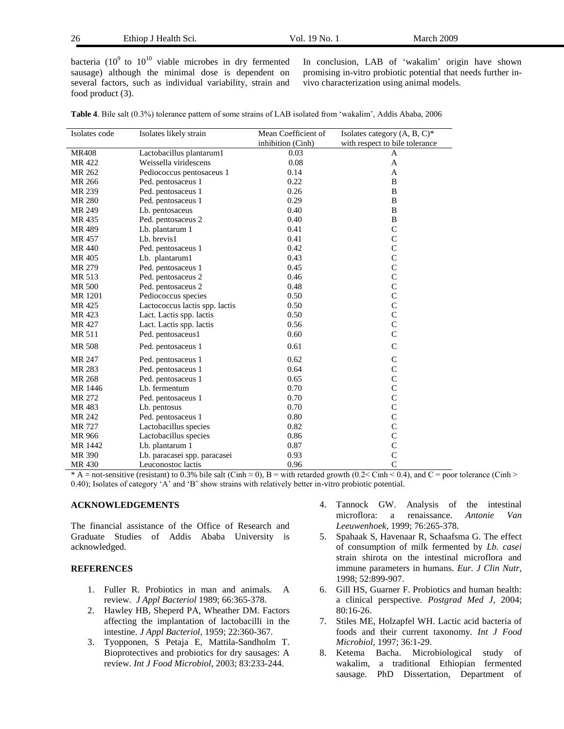26 Ethiop J Health Sci*.* Vol. 19 No. 1 March 2009

bacteria  $(10^9$  to  $10^{10}$  viable microbes in dry fermented sausage) although the minimal dose is dependent on several factors, such as individual variability, strain and food product (3).

In conclusion, LAB of "wakalim" origin have shown promising in-vitro probiotic potential that needs further invivo characterization using animal models.

|  |  |  | <b>Table 4.</b> Bile salt (0.3%) tolerance pattern of some strains of LAB isolated from 'wakalim'. Addis Ababa, 2006 |  |  |
|--|--|--|----------------------------------------------------------------------------------------------------------------------|--|--|
|--|--|--|----------------------------------------------------------------------------------------------------------------------|--|--|

| Isolates code | Isolates likely strain         | Mean Coefficient of | Isolates category (A, B, C)*   |
|---------------|--------------------------------|---------------------|--------------------------------|
|               |                                | inhibition (Cinh)   | with respect to bile tolerance |
| <b>MR408</b>  | Lactobacillus plantarum1       | 0.03                | A                              |
| MR 422        | Weissella viridescens          | 0.08                | A                              |
| MR 262        | Pediococcus pentosaceus 1      | 0.14                | A                              |
| MR 266        | Ped. pentosaceus 1             | 0.22                | B                              |
| MR 239        | Ped. pentosaceus 1             | 0.26                | B                              |
| MR 280        | Ped. pentosaceus 1             | 0.29                | B                              |
| MR 249        | Lb. pentosaceus                | 0.40                | B                              |
| MR 435        | Ped. pentosaceus 2             | 0.40                | B                              |
| MR 489        | Lb. plantarum 1                | 0.41                | $\mathsf{C}$                   |
| MR 457        | Lb. brevis1                    | 0.41                | $\mathsf{C}$                   |
| MR 440        | Ped. pentosaceus 1             | 0.42                | $\mathsf{C}$                   |
| MR 405        | Lb. plantarum1                 | 0.43                | $\mathsf{C}$                   |
| MR 279        | Ped. pentosaceus 1             | 0.45                | $\mathbf C$                    |
| MR 513        | Ped. pentosaceus 2             | 0.46                | $\mathbf C$                    |
| <b>MR 500</b> | Ped. pentosaceus 2             | 0.48                | $\mathsf{C}$                   |
| MR 1201       | Pediococcus species            | 0.50                | $\mathsf{C}$                   |
| MR 425        | Lactococcus lactis spp. lactis | 0.50                | $\mathsf{C}$                   |
| MR 423        | Lact. Lactis spp. lactis       | 0.50                | $\overline{C}$                 |
| MR 427        | Lact. Lactis spp. lactis       | 0.56                | $\mathsf{C}$                   |
| MR 511        | Ped. pentosaceus1              | 0.60                | $\mathcal{C}$                  |
| <b>MR 508</b> | Ped. pentosaceus 1             | 0.61                | $\overline{C}$                 |
| MR 247        | Ped. pentosaceus 1             | 0.62                | $\mathsf{C}$                   |
| MR 283        | Ped. pentosaceus 1             | 0.64                | $\mathsf{C}$                   |
| MR 268        | Ped. pentosaceus 1             | 0.65                | $\mathsf{C}$                   |
| MR 1446       | Lb. fermentum                  | 0.70                | $\overline{C}$                 |
| MR 272        | Ped. pentosaceus 1             | 0.70                | $\overline{C}$                 |
| MR 483        | Lb. pentosus                   | 0.70                | $\overline{C}$                 |
| MR 242        | Ped. pentosaceus 1             | 0.80                | $\mathsf{C}$                   |
| MR 727        | Lactobacillus species          | 0.82                | $\overline{C}$                 |
| MR 966        | Lactobacillus species          | 0.86                | $\overline{C}$                 |
| MR 1442       | Lb. plantarum 1                | 0.87                | $\mathsf{C}$                   |
| MR 390        | Lb. paracasei spp. paracasei   | 0.93                | $\mathsf{C}$                   |
| MR 430        | Leuconostoc lactis             | 0.96                | $\overline{C}$                 |

 $* A$  = not-sensitive (resistant) to 0.3% bile salt (Cinh  $\approx$  0), B = with retarded growth (0.2< Cinh < 0.4), and C = poor tolerance (Cinh > 0.40); Isolates of category "A" and "B" show strains with relatively better in-vitro probiotic potential.

#### **ACKNOWLEDGEMENTS**

The financial assistance of the Office of Research and Graduate Studies of Addis Ababa University is acknowledged.

### **REFERENCES**

- 1. Fuller R. Probiotics in man and animals. A review. *J Appl Bacteriol* 1989; 66:365-378.
- 2. Hawley HB, Sheperd PA, Wheather DM. Factors affecting the implantation of lactobacilli in the intestine. *J Appl Bacteriol,* 1959; 22:360-367.
- 3. Tyopponen, S Petaja E, Mattila-Sandholm T. Bioprotectives and probiotics for dry sausages: A review. *Int J Food Microbiol*, 2003; 83:233-244.
- 4. Tannock GW. Analysis of the intestinal microflora: a renaissance. *Antonie Van Leeuwenhoek,* 1999; 76:265-378.
- 5. Spahaak S, Havenaar R, Schaafsma G. The effect of consumption of milk fermented by *Lb. casei* strain shirota on the intestinal microflora and immune parameters in humans. *Eur. J Clin Nutr,* 1998; 52:899-907.
- 6. Gill HS, Guarner F. Probiotics and human health: a clinical perspective. *Postgrad Med J*, 2004; 80:16-26.
- 7. Stiles ME, Holzapfel WH. Lactic acid bacteria of foods and their current taxonomy. *Int J Food Microbiol*, 1997; 36:1-29.
- 8. Ketema Bacha. Microbiological study of wakalim, a traditional Ethiopian fermented sausage. PhD Dissertation, Department of